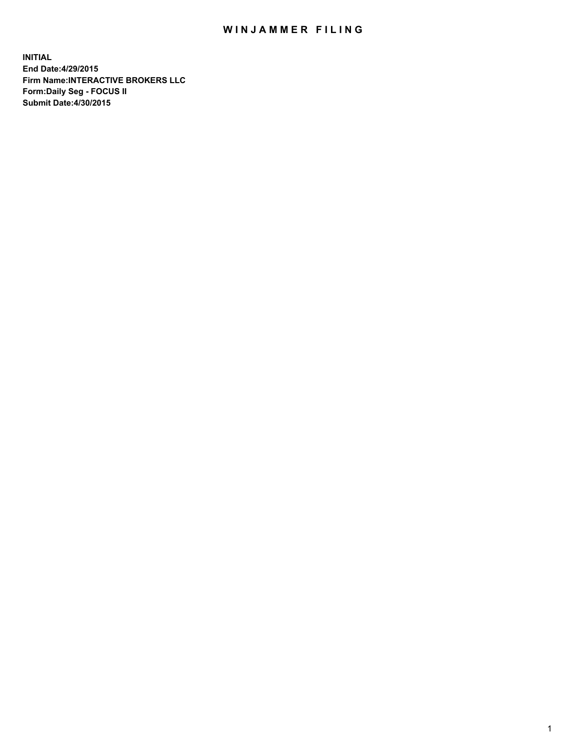## WIN JAMMER FILING

**INITIAL End Date:4/29/2015 Firm Name:INTERACTIVE BROKERS LLC Form:Daily Seg - FOCUS II Submit Date:4/30/2015**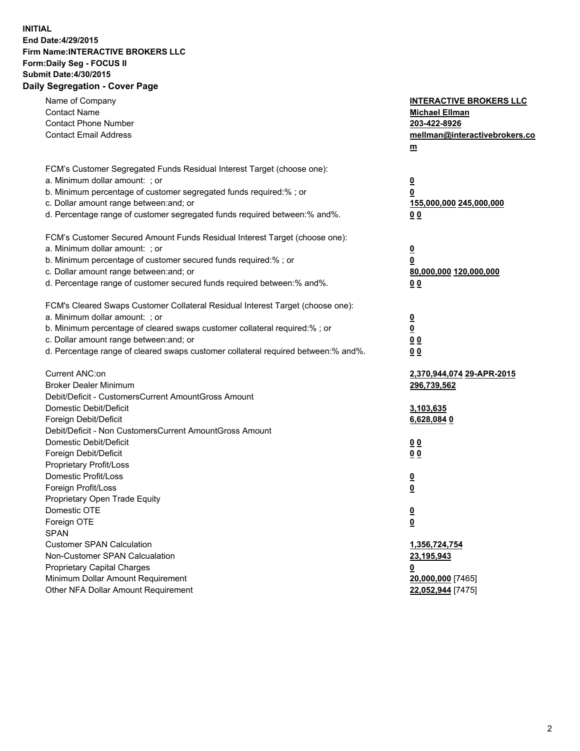## **INITIAL End Date:4/29/2015 Firm Name:INTERACTIVE BROKERS LLC Form:Daily Seg - FOCUS II Submit Date:4/30/2015 Daily Segregation - Cover Page**

| Name of Company<br><b>Contact Name</b><br><b>Contact Phone Number</b><br><b>Contact Email Address</b>                                                                                                                                                                                                                          | <b>INTERACTIVE BROKERS LLC</b><br><b>Michael Ellman</b><br>203-422-8926<br>mellman@interactivebrokers.co<br>$m$ |
|--------------------------------------------------------------------------------------------------------------------------------------------------------------------------------------------------------------------------------------------------------------------------------------------------------------------------------|-----------------------------------------------------------------------------------------------------------------|
| FCM's Customer Segregated Funds Residual Interest Target (choose one):<br>a. Minimum dollar amount: ; or<br>b. Minimum percentage of customer segregated funds required:% ; or<br>c. Dollar amount range between: and; or<br>d. Percentage range of customer segregated funds required between:% and%.                         | <u>0</u><br><u>0</u><br>155,000,000 245,000,000<br>0 <sub>0</sub>                                               |
| FCM's Customer Secured Amount Funds Residual Interest Target (choose one):<br>a. Minimum dollar amount: ; or<br>b. Minimum percentage of customer secured funds required:% ; or<br>c. Dollar amount range between: and; or<br>d. Percentage range of customer secured funds required between:% and%.                           | <u>0</u><br>0<br>80,000,000 120,000,000<br>0 <sub>0</sub>                                                       |
| FCM's Cleared Swaps Customer Collateral Residual Interest Target (choose one):<br>a. Minimum dollar amount: ; or<br>b. Minimum percentage of cleared swaps customer collateral required:% ; or<br>c. Dollar amount range between: and; or<br>d. Percentage range of cleared swaps customer collateral required between:% and%. | $\overline{\mathbf{0}}$<br>$\underline{\mathbf{0}}$<br>0 <sub>0</sub><br>0 <sub>0</sub>                         |
| Current ANC:on<br><b>Broker Dealer Minimum</b><br>Debit/Deficit - CustomersCurrent AmountGross Amount<br>Domestic Debit/Deficit<br>Foreign Debit/Deficit                                                                                                                                                                       | 2,370,944,074 29-APR-2015<br>296,739,562<br>3,103,635<br>6,628,0840                                             |
| Debit/Deficit - Non CustomersCurrent AmountGross Amount<br>Domestic Debit/Deficit<br>Foreign Debit/Deficit<br>Proprietary Profit/Loss<br>Domestic Profit/Loss<br>Foreign Profit/Loss                                                                                                                                           | 0 <sub>0</sub><br>0 <sub>0</sub><br><u>0</u><br><u>0</u>                                                        |
| Proprietary Open Trade Equity<br>Domestic OTE<br>Foreign OTE<br><b>SPAN</b><br><b>Customer SPAN Calculation</b>                                                                                                                                                                                                                | <u>0</u><br><u>0</u><br>1,356,724,754                                                                           |
| Non-Customer SPAN Calcualation<br><b>Proprietary Capital Charges</b><br>Minimum Dollar Amount Requirement<br>Other NFA Dollar Amount Requirement                                                                                                                                                                               | 23,195,943<br><u>0</u><br>20,000,000 [7465]<br>22,052,944 [7475]                                                |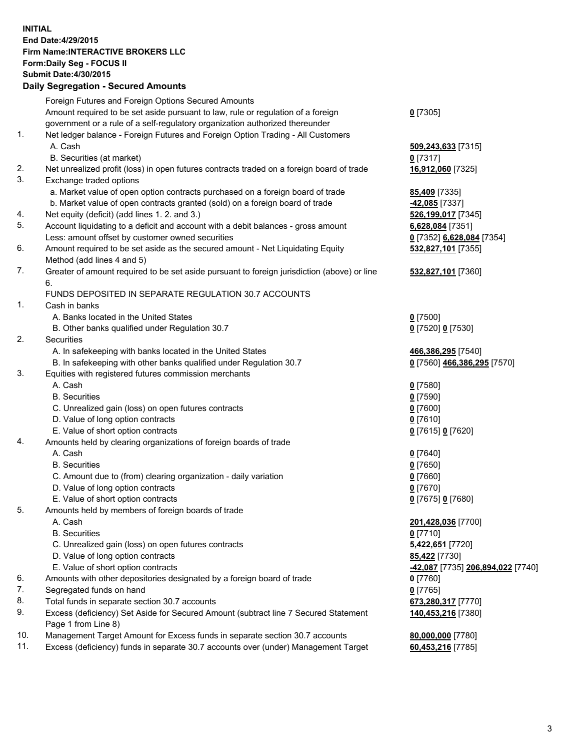## **INITIAL End Date:4/29/2015 Firm Name:INTERACTIVE BROKERS LLC Form:Daily Seg - FOCUS II Submit Date:4/30/2015 Daily Segregation - Secured Amounts**

|     | Foreign Futures and Foreign Options Secured Amounts                                         |                                   |
|-----|---------------------------------------------------------------------------------------------|-----------------------------------|
|     | Amount required to be set aside pursuant to law, rule or regulation of a foreign            | $0$ [7305]                        |
|     | government or a rule of a self-regulatory organization authorized thereunder                |                                   |
| 1.  | Net ledger balance - Foreign Futures and Foreign Option Trading - All Customers             |                                   |
|     | A. Cash                                                                                     | 509,243,633 [7315]                |
|     | B. Securities (at market)                                                                   | $0$ [7317]                        |
| 2.  | Net unrealized profit (loss) in open futures contracts traded on a foreign board of trade   | 16,912,060 [7325]                 |
| 3.  | Exchange traded options                                                                     |                                   |
|     | a. Market value of open option contracts purchased on a foreign board of trade              | 85,409 [7335]                     |
|     | b. Market value of open contracts granted (sold) on a foreign board of trade                | <mark>-42,085</mark> [7337]       |
| 4.  | Net equity (deficit) (add lines 1.2. and 3.)                                                | 526,199,017 [7345]                |
| 5.  | Account liquidating to a deficit and account with a debit balances - gross amount           | 6,628,084 [7351]                  |
|     | Less: amount offset by customer owned securities                                            |                                   |
| 6.  |                                                                                             | 0 [7352] 6,628,084 [7354]         |
|     | Amount required to be set aside as the secured amount - Net Liquidating Equity              | 532,827,101 [7355]                |
|     | Method (add lines 4 and 5)                                                                  |                                   |
| 7.  | Greater of amount required to be set aside pursuant to foreign jurisdiction (above) or line | 532,827,101 [7360]                |
|     | 6.                                                                                          |                                   |
|     | FUNDS DEPOSITED IN SEPARATE REGULATION 30.7 ACCOUNTS                                        |                                   |
| 1.  | Cash in banks                                                                               |                                   |
|     | A. Banks located in the United States                                                       | $0$ [7500]                        |
|     | B. Other banks qualified under Regulation 30.7                                              | 0 [7520] 0 [7530]                 |
| 2.  | Securities                                                                                  |                                   |
|     | A. In safekeeping with banks located in the United States                                   | 466,386,295 [7540]                |
|     | B. In safekeeping with other banks qualified under Regulation 30.7                          | 0 [7560] 466,386,295 [7570]       |
| 3.  | Equities with registered futures commission merchants                                       |                                   |
|     | A. Cash                                                                                     | $0$ [7580]                        |
|     | <b>B.</b> Securities                                                                        | $0$ [7590]                        |
|     | C. Unrealized gain (loss) on open futures contracts                                         | $0$ [7600]                        |
|     | D. Value of long option contracts                                                           | $0$ [7610]                        |
|     | E. Value of short option contracts                                                          | 0 [7615] 0 [7620]                 |
| 4.  | Amounts held by clearing organizations of foreign boards of trade                           |                                   |
|     | A. Cash                                                                                     | $0$ [7640]                        |
|     | <b>B.</b> Securities                                                                        | $0$ [7650]                        |
|     | C. Amount due to (from) clearing organization - daily variation                             | $0$ [7660]                        |
|     | D. Value of long option contracts                                                           | $0$ [7670]                        |
|     | E. Value of short option contracts                                                          | 0 [7675] 0 [7680]                 |
| 5.  | Amounts held by members of foreign boards of trade                                          |                                   |
|     | A. Cash                                                                                     | 201,428,036 [7700]                |
|     | <b>B.</b> Securities                                                                        | $0$ [7710]                        |
|     | C. Unrealized gain (loss) on open futures contracts                                         | 5,422,651 [7720]                  |
|     | D. Value of long option contracts                                                           | 85,422 [7730]                     |
|     | E. Value of short option contracts                                                          | -42,087 [7735] 206,894,022 [7740] |
| 6.  | Amounts with other depositories designated by a foreign board of trade                      | $0$ [7760]                        |
| 7.  | Segregated funds on hand                                                                    | $0$ [7765]                        |
| 8.  | Total funds in separate section 30.7 accounts                                               | 673,280,317 [7770]                |
| 9.  | Excess (deficiency) Set Aside for Secured Amount (subtract line 7 Secured Statement         | 140,453,216 [7380]                |
|     | Page 1 from Line 8)                                                                         |                                   |
| 10. | Management Target Amount for Excess funds in separate section 30.7 accounts                 | 80,000,000 [7780]                 |
| 11. | Excess (deficiency) funds in separate 30.7 accounts over (under) Management Target          | 60,453,216 [7785]                 |
|     |                                                                                             |                                   |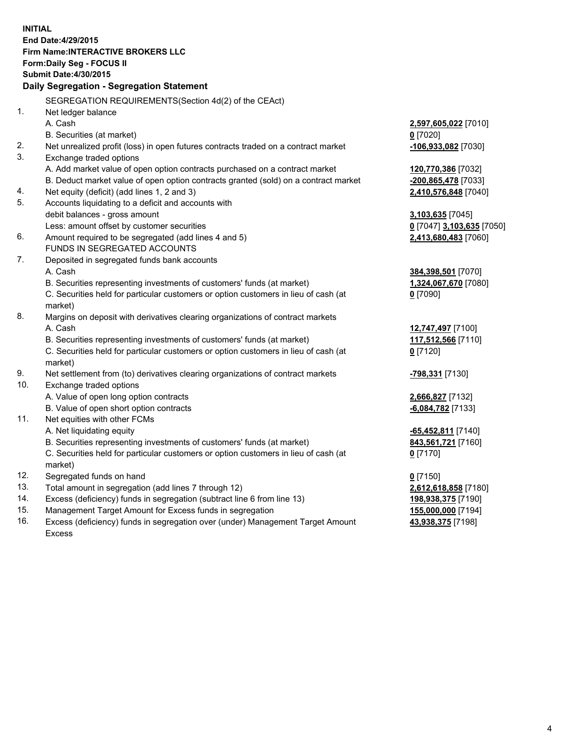**INITIAL End Date:4/29/2015 Firm Name:INTERACTIVE BROKERS LLC Form:Daily Seg - FOCUS II Submit Date:4/30/2015 Daily Segregation - Segregation Statement** SEGREGATION REQUIREMENTS(Section 4d(2) of the CEAct) 1. Net ledger balance A. Cash **2,597,605,022** [7010] B. Securities (at market) **0** [7020] 2. Net unrealized profit (loss) in open futures contracts traded on a contract market **-106,933,082** [7030] 3. Exchange traded options A. Add market value of open option contracts purchased on a contract market **120,770,386** [7032] B. Deduct market value of open option contracts granted (sold) on a contract market **-200,865,478** [7033] 4. Net equity (deficit) (add lines 1, 2 and 3) **2,410,576,848** [7040] 5. Accounts liquidating to a deficit and accounts with debit balances - gross amount **3,103,635** [7045] Less: amount offset by customer securities **0** [7047] **3,103,635** [7050] 6. Amount required to be segregated (add lines 4 and 5) **2,413,680,483** [7060] FUNDS IN SEGREGATED ACCOUNTS 7. Deposited in segregated funds bank accounts A. Cash **384,398,501** [7070] B. Securities representing investments of customers' funds (at market) **1,324,067,670** [7080] C. Securities held for particular customers or option customers in lieu of cash (at market) **0** [7090] 8. Margins on deposit with derivatives clearing organizations of contract markets A. Cash **12,747,497** [7100] B. Securities representing investments of customers' funds (at market) **117,512,566** [7110] C. Securities held for particular customers or option customers in lieu of cash (at market) **0** [7120] 9. Net settlement from (to) derivatives clearing organizations of contract markets **-798,331** [7130] 10. Exchange traded options A. Value of open long option contracts **2,666,827** [7132] B. Value of open short option contracts **-6,084,782** [7133] 11. Net equities with other FCMs A. Net liquidating equity **-65,452,811** [7140] B. Securities representing investments of customers' funds (at market) **843,561,721** [7160] C. Securities held for particular customers or option customers in lieu of cash (at market) **0** [7170] 12. Segregated funds on hand **0** [7150] 13. Total amount in segregation (add lines 7 through 12) **2,612,618,858** [7180] 14. Excess (deficiency) funds in segregation (subtract line 6 from line 13) **198,938,375** [7190] 15. Management Target Amount for Excess funds in segregation **155,000,000** [7194]

16. Excess (deficiency) funds in segregation over (under) Management Target Amount Excess

**43,938,375** [7198]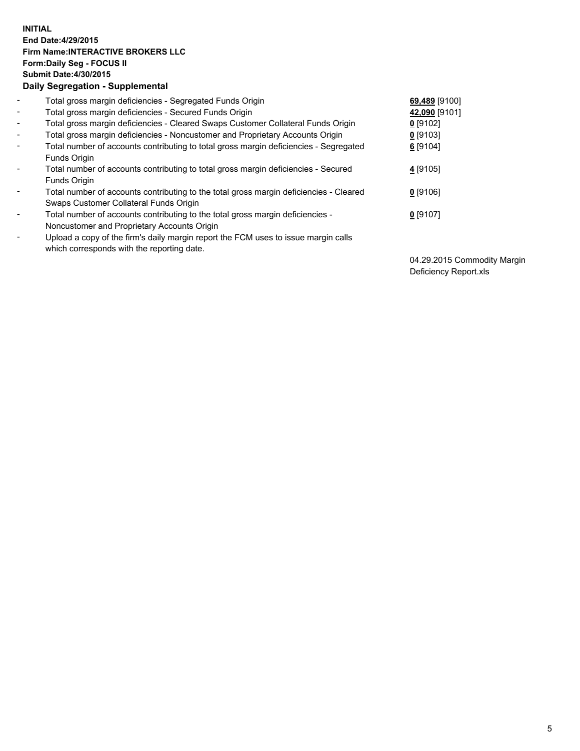## **INITIAL End Date:4/29/2015 Firm Name:INTERACTIVE BROKERS LLC Form:Daily Seg - FOCUS II Submit Date:4/30/2015 Daily Segregation - Supplemental**

| $\blacksquare$           | Total gross margin deficiencies - Segregated Funds Origin                                                                        | 69,489 [9100] |
|--------------------------|----------------------------------------------------------------------------------------------------------------------------------|---------------|
| $\blacksquare$           | Total gross margin deficiencies - Secured Funds Origin                                                                           | 42,090 [9101] |
| $\blacksquare$           | Total gross margin deficiencies - Cleared Swaps Customer Collateral Funds Origin                                                 | $0$ [9102]    |
| $\blacksquare$           | Total gross margin deficiencies - Noncustomer and Proprietary Accounts Origin                                                    | $0$ [9103]    |
| $\blacksquare$           | Total number of accounts contributing to total gross margin deficiencies - Segregated<br>Funds Origin                            | $6$ [9104]    |
| $\overline{\phantom{a}}$ | Total number of accounts contributing to total gross margin deficiencies - Secured<br>Funds Origin                               | 4 [9105]      |
| -                        | Total number of accounts contributing to the total gross margin deficiencies - Cleared<br>Swaps Customer Collateral Funds Origin | $0$ [9106]    |
| ۰                        | Total number of accounts contributing to the total gross margin deficiencies -<br>Noncustomer and Proprietary Accounts Origin    | $0$ [9107]    |
| $\overline{\phantom{a}}$ | Upload a copy of the firm's daily margin report the FCM uses to issue margin calls<br>which corresponds with the reporting date. |               |

04.29.2015 Commodity Margin Deficiency Report.xls